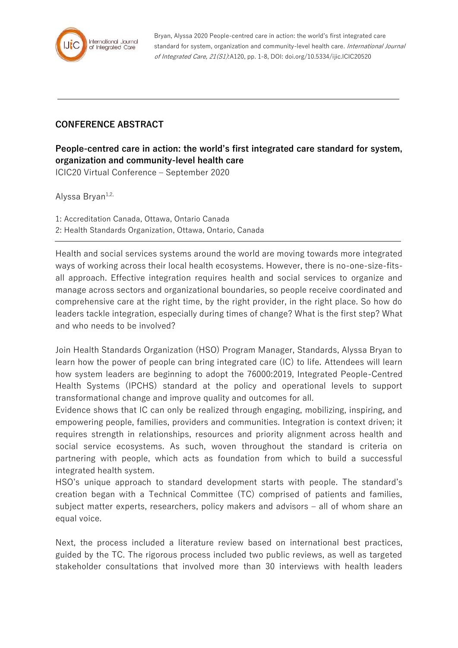

Bryan, Alyssa 2020 People-centred care in action: the world's first integrated care standard for system, organization and community-level health care. International Journal of Integrated Care, 21(S1):A120, pp. 1-8, DOI: doi.org/10.5334/ijic.ICIC20520

## **CONFERENCE ABSTRACT**

**People-centred care in action: the world's first integrated care standard for system, organization and community-level health care** ICIC20 Virtual Conference – September 2020

Alyssa Bryan $1,2$ ,

1: Accreditation Canada, Ottawa, Ontario Canada 2: Health Standards Organization, Ottawa, Ontario, Canada

Health and social services systems around the world are moving towards more integrated ways of working across their local health ecosystems. However, there is no-one-size-fitsall approach. Effective integration requires health and social services to organize and manage across sectors and organizational boundaries, so people receive coordinated and comprehensive care at the right time, by the right provider, in the right place. So how do leaders tackle integration, especially during times of change? What is the first step? What and who needs to be involved?

Join Health Standards Organization (HSO) Program Manager, Standards, Alyssa Bryan to learn how the power of people can bring integrated care (IC) to life. Attendees will learn how system leaders are beginning to adopt the 76000:2019, Integrated People-Centred Health Systems (IPCHS) standard at the policy and operational levels to support transformational change and improve quality and outcomes for all.

Evidence shows that IC can only be realized through engaging, mobilizing, inspiring, and empowering people, families, providers and communities. Integration is context driven; it requires strength in relationships, resources and priority alignment across health and social service ecosystems. As such, woven throughout the standard is criteria on partnering with people, which acts as foundation from which to build a successful integrated health system.

HSO's unique approach to standard development starts with people. The standard's creation began with a Technical Committee (TC) comprised of patients and families, subject matter experts, researchers, policy makers and advisors – all of whom share an equal voice.

Next, the process included a literature review based on international best practices, guided by the TC. The rigorous process included two public reviews, as well as targeted stakeholder consultations that involved more than 30 interviews with health leaders